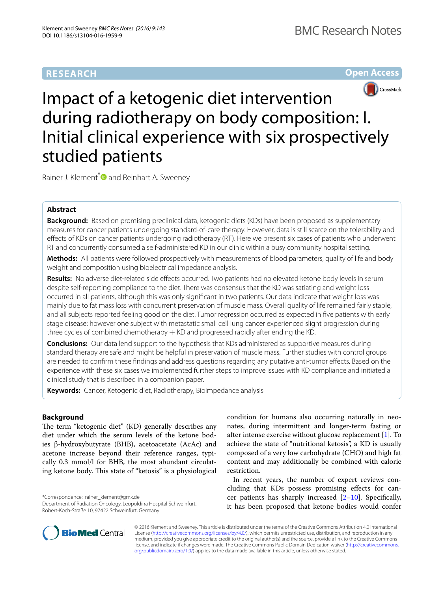# **RESEARCH**

**Open Access**



Impact of a ketogenic diet intervention during radiotherapy on body composition: I. Initial clinical experience with six prospectively studied patients

Rainer J. Klement<sup>\*</sup> and Reinhart A. Sweeney

# **Abstract**

**Background:** Based on promising preclinical data, ketogenic diets (KDs) have been proposed as supplementary measures for cancer patients undergoing standard-of-care therapy. However, data is still scarce on the tolerability and effects of KDs on cancer patients undergoing radiotherapy (RT). Here we present six cases of patients who underwent RT and concurrently consumed a self-administered KD in our clinic within a busy community hospital setting.

**Methods:** All patients were followed prospectively with measurements of blood parameters, quality of life and body weight and composition using bioelectrical impedance analysis.

**Results:** No adverse diet-related side effects occurred. Two patients had no elevated ketone body levels in serum despite self-reporting compliance to the diet. There was consensus that the KD was satiating and weight loss occurred in all patients, although this was only significant in two patients. Our data indicate that weight loss was mainly due to fat mass loss with concurrent preservation of muscle mass. Overall quality of life remained fairly stable, and all subjects reported feeling good on the diet. Tumor regression occurred as expected in five patients with early stage disease; however one subject with metastatic small cell lung cancer experienced slight progression during three cycles of combined chemotherapy  $+$  KD and progressed rapidly after ending the KD.

**Conclusions:** Our data lend support to the hypothesis that KDs administered as supportive measures during standard therapy are safe and might be helpful in preservation of muscle mass. Further studies with control groups are needed to confirm these findings and address questions regarding any putative anti-tumor effects. Based on the experience with these six cases we implemented further steps to improve issues with KD compliance and initiated a clinical study that is described in a companion paper.

**Keywords:** Cancer, Ketogenic diet, Radiotherapy, Bioimpedance analysis

## **Background**

The term "ketogenic diet" (KD) generally describes any diet under which the serum levels of the ketone bodies β-hydroxybutyrate (BHB), acetoacetate (AcAc) and acetone increase beyond their reference ranges, typically 0.3 mmol/l for BHB, the most abundant circulating ketone body. This state of "ketosis" is a physiological

\*Correspondence: rainer\_klement@gmx.de Department of Radiation Oncology, Leopoldina Hospital Schweinfurt, Robert-Koch-Straße 10, 97422 Schweinfurt, Germany

condition for humans also occurring naturally in neonates, during intermittent and longer-term fasting or after intense exercise without glucose replacement [\[1](#page-12-0)]. To achieve the state of "nutritional ketosis", a KD is usually composed of a very low carbohydrate (CHO) and high fat content and may additionally be combined with calorie restriction.

In recent years, the number of expert reviews concluding that KDs possess promising effects for cancer patients has sharply increased  $[2-10]$  $[2-10]$ . Specifically, it has been proposed that ketone bodies would confer



© 2016 Klement and Sweeney. This article is distributed under the terms of the Creative Commons Attribution 4.0 International License (<http://creativecommons.org/licenses/by/4.0/>), which permits unrestricted use, distribution, and reproduction in any medium, provided you give appropriate credit to the original author(s) and the source, provide a link to the Creative Commons license, and indicate if changes were made. The Creative Commons Public Domain Dedication waiver ([http://creativecommons.](http://creativecommons.org/publicdomain/zero/1.0/) [org/publicdomain/zero/1.0/](http://creativecommons.org/publicdomain/zero/1.0/)) applies to the data made available in this article, unless otherwise stated.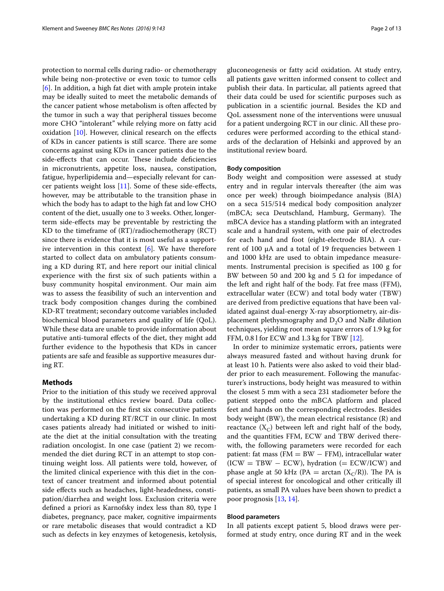protection to normal cells during radio- or chemotherapy while being non-protective or even toxic to tumor cells [[6\]](#page-12-3). In addition, a high fat diet with ample protein intake may be ideally suited to meet the metabolic demands of the cancer patient whose metabolism is often affected by the tumor in such a way that peripheral tissues become more CHO "intolerant" while relying more on fatty acid oxidation [[10\]](#page-12-2). However, clinical research on the effects of KDs in cancer patients is still scarce. There are some concerns against using KDs in cancer patients due to the side-effects that can occur. These include deficiencies in micronutrients, appetite loss, nausea, constipation, fatigue, hyperlipidemia and—especially relevant for cancer patients weight loss [[11\]](#page-12-4). Some of these side-effects, however, may be attributable to the transition phase in which the body has to adapt to the high fat and low CHO content of the diet, usually one to 3 weeks. Other, longerterm side-effects may be preventable by restricting the KD to the timeframe of (RT)/radiochemotherapy (RCT) since there is evidence that it is most useful as a supportive intervention in this context [\[6](#page-12-3)]. We have therefore started to collect data on ambulatory patients consuming a KD during RT, and here report our initial clinical experience with the first six of such patients within a busy community hospital environment. Our main aim was to assess the feasibility of such an intervention and track body composition changes during the combined KD-RT treatment; secondary outcome variables included biochemical blood parameters and quality of life (QoL). While these data are unable to provide information about putative anti-tumoral effects of the diet, they might add further evidence to the hypothesis that KDs in cancer patients are safe and feasible as supportive measures during RT.

## **Methods**

Prior to the initiation of this study we received approval by the institutional ethics review board. Data collection was performed on the first six consecutive patients undertaking a KD during RT/RCT in our clinic. In most cases patients already had initiated or wished to initiate the diet at the initial consultation with the treating radiation oncologist. In one case (patient 2) we recommended the diet during RCT in an attempt to stop continuing weight loss. All patients were told, however, of the limited clinical experience with this diet in the context of cancer treatment and informed about potential side effects such as headaches, light-headedness, constipation/diarrhea and weight loss. Exclusion criteria were defined a priori as Karnofsky index less than 80, type I diabetes, pregnancy, pace maker, cognitive impairments or rare metabolic diseases that would contradict a KD such as defects in key enzymes of ketogenesis, ketolysis,

gluconeogenesis or fatty acid oxidation. At study entry, all patients gave written informed consent to collect and publish their data. In particular, all patients agreed that their data could be used for scientific purposes such as publication in a scientific journal. Besides the KD and QoL assessment none of the interventions were unusual for a patient undergoing RCT in our clinic. All these procedures were performed according to the ethical standards of the declaration of Helsinki and approved by an institutional review board.

### **Body composition**

Body weight and composition were assessed at study entry and in regular intervals thereafter (the aim was once per week) through bioimpedance analysis (BIA) on a seca 515/514 medical body composition analyzer (mBCA; seca Deutschland, Hamburg, Germany). The mBCA device has a standing platform with an integrated scale and a handrail system, with one pair of electrodes for each hand and foot (eight-electrode BIA). A current of 100 μA and a total of 19 frequencies between 1 and 1000 kHz are used to obtain impedance measurements. Instrumental precision is specified as 100 g for BW between 50 and 200 kg and 5  $\Omega$  for impedance of the left and right half of the body. Fat free mass (FFM), extracellular water (ECW) and total body water (TBW) are derived from predictive equations that have been validated against dual-energy X-ray absorptiometry, air-displacement plethysmography and  $D_2O$  and NaBr dilution techniques, yielding root mean square errors of 1.9 kg for FFM, 0.8 l for ECW and 1.3 kg for TBW [[12\]](#page-12-5).

In order to minimize systematic errors, patients were always measured fasted and without having drunk for at least 10 h. Patients were also asked to void their bladder prior to each measurement. Following the manufacturer's instructions, body height was measured to within the closest 5 mm with a seca 231 stadiometer before the patient stepped onto the mBCA platform and placed feet and hands on the corresponding electrodes. Besides body weight (BW), the mean electrical resistance (R) and reactance  $(X_C)$  between left and right half of the body, and the quantities FFM, ECW and TBW derived therewith, the following parameters were recorded for each patient: fat mass (FM = BW  $-$  FFM), intracellular water  $(ICW = TBW - ECW)$ , hydration (=  $ECW/ICW$ ) and phase angle at 50 kHz (PA =  $arctan (X_C/R)$ ). The PA is of special interest for oncological and other critically ill patients, as small PA values have been shown to predict a poor prognosis [\[13,](#page-12-6) [14](#page-12-7)].

## **Blood parameters**

In all patients except patient 5, blood draws were performed at study entry, once during RT and in the week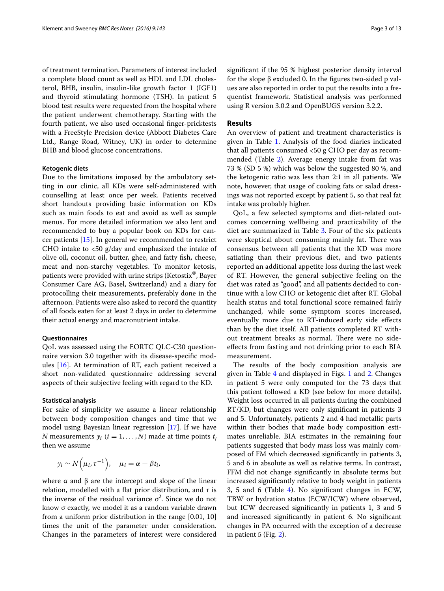of treatment termination. Parameters of interest included a complete blood count as well as HDL and LDL cholesterol, BHB, insulin, insulin-like growth factor 1 (IGF1) and thyroid stimulating hormone (TSH). In patient 5 blood test results were requested from the hospital where the patient underwent chemotherapy. Starting with the fourth patient, we also used occasional finger-pricktests with a FreeStyle Precision device (Abbott Diabetes Care Ltd., Range Road, Witney, UK) in order to determine BHB and blood glucose concentrations.

### **Ketogenic diets**

Due to the limitations imposed by the ambulatory setting in our clinic, all KDs were self-administered with counselling at least once per week. Patients received short handouts providing basic information on KDs such as main foods to eat and avoid as well as sample menus. For more detailed information we also lent and recommended to buy a popular book on KDs for cancer patients [[15\]](#page-12-8). In general we recommended to restrict CHO intake to <50 g/day and emphasized the intake of olive oil, coconut oil, butter, ghee, and fatty fish, cheese, meat and non-starchy vegetables. To monitor ketosis, patients were provided with urine strips (Ketostix®, Bayer Consumer Care AG, Basel, Switzerland) and a diary for protocolling their measurements, preferably done in the afternoon. Patients were also asked to record the quantity of all foods eaten for at least 2 days in order to determine their actual energy and macronutrient intake.

#### **Questionnaires**

QoL was assessed using the EORTC QLC-C30 questionnaire version 3.0 together with its disease-specific modules [[16\]](#page-12-9). At termination of RT, each patient received a short non-validated questionnaire addressing several aspects of their subjective feeling with regard to the KD.

#### **Statistical analysis**

For sake of simplicity we assume a linear relationship between body composition changes and time that we model using Bayesian linear regression [[17](#page-12-10)]. If we have *N* measurements  $y_i$  ( $i = 1, ..., N$ ) made at time points  $t_i$ then we assume

$$
y_i \sim N(\mu_i, \tau^{-1}), \quad \mu_i = \alpha + \beta t_i,
$$

where  $\alpha$  and  $\beta$  are the intercept and slope of the linear relation, modelled with a flat prior distribution, and τ is the inverse of the residual variance  $\sigma^2$ . Since we do not know σ exactly, we model it as a random variable drawn from a uniform prior distribution in the range [0.01, 10] times the unit of the parameter under consideration. Changes in the parameters of interest were considered

significant if the 95 % highest posterior density interval for the slope β excluded 0. In the figures two-sided p values are also reported in order to put the results into a frequentist framework. Statistical analysis was performed using R version 3.0.2 and OpenBUGS version 3.2.2.

### **Results**

An overview of patient and treatment characteristics is given in Table [1.](#page-3-0) Analysis of the food diaries indicated that all patients consumed <50 g CHO per day as recommended (Table [2\)](#page-4-0). Average energy intake from fat was 73 % (SD 5 %) which was below the suggested 80 %, and the ketogenic ratio was less than 2:1 in all patients. We note, however, that usage of cooking fats or salad dressings was not reported except by patient 5, so that real fat intake was probably higher.

QoL, a few selected symptoms and diet-related outcomes concerning wellbeing and practicability of the diet are summarized in Table [3.](#page-5-0) Four of the six patients were skeptical about consuming mainly fat. There was consensus between all patients that the KD was more satiating than their previous diet, and two patients reported an additional appetite loss during the last week of RT. However, the general subjective feeling on the diet was rated as "good", and all patients decided to continue with a low CHO or ketogenic diet after RT. Global health status and total functional score remained fairly unchanged, while some symptom scores increased, eventually more due to RT-induced early side effects than by the diet itself. All patients completed RT without treatment breaks as normal. There were no sideeffects from fasting and not drinking prior to each BIA measurement.

The results of the body composition analysis are given in Table [4](#page-7-0) and displayed in Figs. [1](#page-8-0) and [2](#page-8-1). Changes in patient 5 were only computed for the 73 days that this patient followed a KD (see below for more details). Weight loss occurred in all patients during the combined RT/KD, but changes were only significant in patients 3 and 5. Unfortunately, patients 2 and 4 had metallic parts within their bodies that made body composition estimates unreliable. BIA estimates in the remaining four patients suggested that body mass loss was mainly composed of FM which decreased significantly in patients 3, 5 and 6 in absolute as well as relative terms. In contrast, FFM did not change significantly in absolute terms but increased significantly relative to body weight in patients 3, 5 and 6 (Table [4](#page-7-0)). No significant changes in ECW, TBW or hydration status (ECW/ICW) where observed, but ICW decreased significantly in patients 1, 3 and 5 and increased significantly in patient 6. No significant changes in PA occurred with the exception of a decrease in patient 5 (Fig. [2\)](#page-8-1).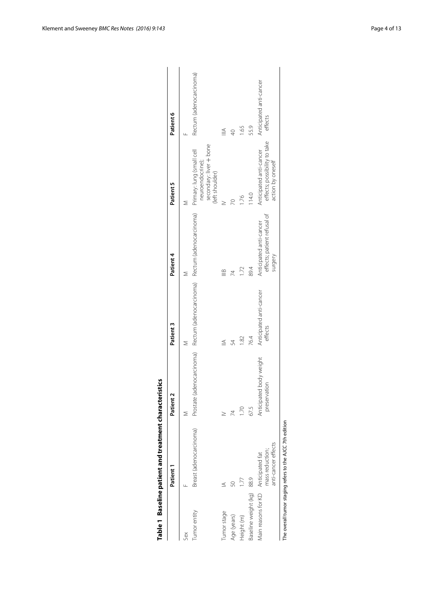|                                     | Patient 1                              | Patient                                                                   | Patient 3                          | Patient 4                                                         | Patient 5                                                                                   | Patient 6                          |
|-------------------------------------|----------------------------------------|---------------------------------------------------------------------------|------------------------------------|-------------------------------------------------------------------|---------------------------------------------------------------------------------------------|------------------------------------|
| Šĕ                                  |                                        |                                                                           | Σ                                  |                                                                   |                                                                                             |                                    |
| Tumor entity                        | Breast (adenocarcinoma)                | Prostate (adenocarcinoma) Rectum (adenocarcinoma) Rectum (adenocarcinoma) |                                    |                                                                   | secondary: liver + bone<br>Primary: lung (small cell<br>neuroendocrine);<br>(left shoulder) | Rectum (adenocarcinoma)            |
| umor stage                          |                                        |                                                                           | $\leq$                             | $\equiv$                                                          |                                                                                             | $\triangleq$                       |
| Age (years)                         |                                        | 4                                                                         | 54                                 | 74                                                                |                                                                                             | $\overline{4}$                     |
| Height (m)                          |                                        | <b>DZ11</b>                                                               | 1.82                               | 1.72                                                              | 1.76                                                                                        | $\frac{65}{1}$                     |
| Baseline weight (kg) 88.9           |                                        | 67.5                                                                      | 76.4                               | 89.4                                                              | 114.0                                                                                       | 55.9                               |
| Main reasons for KD Anticipated fat | anti-cancer effects<br>mass reduction; | Anticipated body weight<br>preservation                                   | Anticipated anti-cancer<br>effects | effects; patient refusal of<br>Anticipated anti-cancer<br>surgery | Anticipated anti-cancer<br>effects; possibility to take<br>action by oneself                | Anticipated anti-cancer<br>effects |

<span id="page-3-0"></span>

| í |
|---|
|   |
|   |
|   |
|   |
|   |
|   |
|   |
|   |
|   |
|   |
|   |
| I |
|   |
|   |
|   |
|   |
|   |
|   |
|   |
|   |
|   |
|   |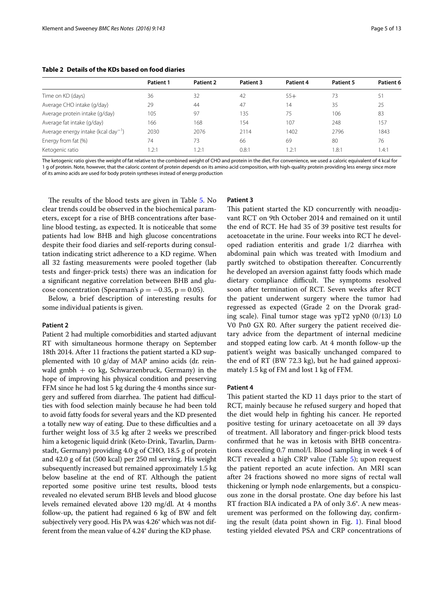<span id="page-4-0"></span>**Table 2 Details of the KDs based on food diaries**

|                                                 | <b>Patient 1</b> | Patient 2 | Patient 3 | Patient 4 | <b>Patient 5</b> | Patient 6 |
|-------------------------------------------------|------------------|-----------|-----------|-----------|------------------|-----------|
| Time on KD (days)                               | 36               | 32        | 42        | $55+$     | 73               | 51        |
| Average CHO intake (g/day)                      | 29               | 44        | 47        | 14        | 35               | 25        |
| Average protein intake (g/day)                  | 105              | 97        | 135       | 75        | 106              | 83        |
| Average fat intake (g/day)                      | 166              | 168       | 154       | 107       | 248              | 157       |
| Average energy intake (kcal day <sup>-1</sup> ) | 2030             | 2076      | 2114      | 1402      | 2796             | 1843      |
| Energy from fat (%)                             | 74               | 73        | 66        | 69        | 80               | 76        |
| Ketogenic ratio                                 | 2:1              | .2:1      | 0.8:1     | 1.2:1     | .8:1             | 1.4:      |

The ketogenic ratio gives the weight of fat relative to the combined weight of CHO and protein in the diet. For convenience, we used a caloric equivalent of 4 kcal for 1 g of protein. Note, however, that the caloric content of protein depends on its amino acid composition, with high-quality protein providing less energy since more of its amino acids are used for body protein syntheses instead of energy production

The results of the blood tests are given in Table [5](#page-9-0). No clear trends could be observed in the biochemical parameters, except for a rise of BHB concentrations after baseline blood testing, as expected. It is noticeable that some patients had low BHB and high glucose concentrations despite their food diaries and self-reports during consultation indicating strict adherence to a KD regime. When all 32 fasting measurements were pooled together (lab tests and finger-prick tests) there was an indication for a significant negative correlation between BHB and glucose concentration (Spearman's  $\rho = -0.35$ ,  $p = 0.05$ ).

Below, a brief description of interesting results for some individual patients is given.

### **Patient 2**

Patient 2 had multiple comorbidities and started adjuvant RT with simultaneous hormone therapy on September 18th 2014. After 11 fractions the patient started a KD supplemented with 10 g/day of MAP amino acids (dr. reinwald gmbh  $+$  co kg, Schwarzenbruck, Germany) in the hope of improving his physical condition and preserving FFM since he had lost 5 kg during the 4 months since surgery and suffered from diarrhea. The patient had difficulties with food selection mainly because he had been told to avoid fatty foods for several years and the KD presented a totally new way of eating. Due to these difficulties and a further weight loss of 3.5 kg after 2 weeks we prescribed him a ketogenic liquid drink (Keto-Drink, Tavarlin, Darmstadt, Germany) providing 4.0 g of CHO, 18.5 g of protein and 42.0 g of fat (500 kcal) per 250 ml serving. His weight subsequently increased but remained approximately 1.5 kg below baseline at the end of RT. Although the patient reported some positive urine test results, blood tests revealed no elevated serum BHB levels and blood glucose levels remained elevated above 120 mg/dl. At 4 months follow-up, the patient had regained 6 kg of BW and felt subjectively very good. His PA was 4.26° which was not different from the mean value of 4.24° during the KD phase.

### **Patient 3**

This patient started the KD concurrently with neoadjuvant RCT on 9th October 2014 and remained on it until the end of RCT. He had 35 of 39 positive test results for acetoacetate in the urine. Four weeks into RCT he developed radiation enteritis and grade 1/2 diarrhea with abdominal pain which was treated with Imodium and partly switched to obstipation thereafter. Concurrently he developed an aversion against fatty foods which made dietary compliance difficult. The symptoms resolved soon after termination of RCT. Seven weeks after RCT the patient underwent surgery where the tumor had regressed as expected (Grade 2 on the Dvorak grading scale). Final tumor stage was ypT2 ypN0 (0/13) L0 V0 Pn0 GX R0. After surgery the patient received dietary advice from the department of internal medicine and stopped eating low carb. At 4 month follow-up the patient's weight was basically unchanged compared to the end of RT (BW 72.3 kg), but he had gained approximately 1.5 kg of FM and lost 1 kg of FFM.

### **Patient 4**

This patient started the KD 11 days prior to the start of RCT, mainly because he refused surgery and hoped that the diet would help in fighting his cancer. He reported positive testing for urinary acetoacetate on all 39 days of treatment. All laboratory and finger-prick blood tests confirmed that he was in ketosis with BHB concentrations exceeding 0.7 mmol/l. Blood sampling in week 4 of RCT revealed a high CRP value (Table [5\)](#page-9-0); upon request the patient reported an acute infection. An MRI scan after 24 fractions showed no more signs of rectal wall thickening or lymph node enlargements, but a conspicuous zone in the dorsal prostate. One day before his last RT fraction BIA indicated a PA of only 3.6°. A new measurement was performed on the following day, confirming the result (data point shown in Fig. [1\)](#page-8-0). Final blood testing yielded elevated PSA and CRP concentrations of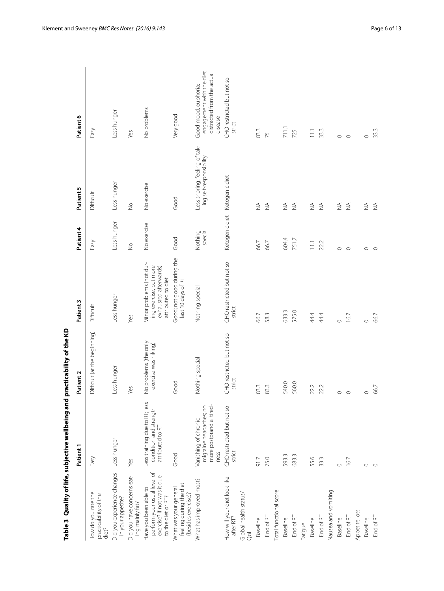|                                                                                                           | Table 3 Quality of life, subjective wellbeing and practicability of the KD         |                                               |                                                                                                   |                               |                                                          |                                                                                           |
|-----------------------------------------------------------------------------------------------------------|------------------------------------------------------------------------------------|-----------------------------------------------|---------------------------------------------------------------------------------------------------|-------------------------------|----------------------------------------------------------|-------------------------------------------------------------------------------------------|
|                                                                                                           | Patient 1                                                                          | Patient 2                                     | Patient 3                                                                                         | Patient 4                     | Patient 5                                                | Patient 6                                                                                 |
| How do you rate the<br>practicability of the<br>diet?                                                     | Easy                                                                               | Difficult (at the beginning)                  | Difficult                                                                                         | Easy                          | Difficult                                                | Easy                                                                                      |
| Did you experience changes<br>in your appetite?                                                           | Less hunger                                                                        | Less hunger                                   | Less hunger                                                                                       | Less hunger                   | Less hunger                                              | Less hunger                                                                               |
| Did you have concerns eat-<br>ing mainly fat?                                                             | Yes                                                                                | Yes                                           | Yes                                                                                               | $\geq$                        | $\frac{1}{2}$                                            | Yes                                                                                       |
| perform your usual level of<br>exercise? If not was it due<br>Have you been able to<br>to the diet or RT? | Less training due to RT; less<br>condition and strength<br>attributed to RT        | No problems (the only<br>exercise was hiking) | Minor problems (not dur-<br>ing exercise, but more<br>exhausted afterwards)<br>attributed to diet | No exercise                   | No exercise                                              | No problems                                                                               |
| feeling during the diet<br>What was your general<br>(besides exercise)?                                   | Good                                                                               | Good                                          | Good; not good during the<br>last 10 days of RT                                                   | Good                          | Good                                                     | Very good                                                                                 |
| What has improved most?                                                                                   | more postprandial tired-<br>migraine headaches; no<br>Vanishing of chronic<br>ness | Nothing special                               | Nothing special                                                                                   | special<br>Nothing            | Less snoring; feeling of tak-<br>ing self-responsibility | engagement with the diet<br>distracted from the actual<br>Good mood, euphoria;<br>disease |
| How will your diet look like<br>Global health status/<br>after RT?<br>$\overline{d}$                      | CHO restricted but not so<br>strict                                                | CHO restricted but not so<br>strict           | CHO restricted but not so<br>strict                                                               | Ketogenic diet Ketogenic diet |                                                          | CHO restricted but not so<br>strict                                                       |
| Baseline                                                                                                  | 51.7                                                                               | 83.3                                          | 66.7                                                                                              | 66.7                          | $\stackrel{\triangle}{\geq}$                             | 83.3                                                                                      |
| End of RT                                                                                                 | 75.0                                                                               | 83.3                                          | 58.3                                                                                              | 66.7                          | $\lessapprox$                                            | 75                                                                                        |
| lotal functional score                                                                                    |                                                                                    |                                               |                                                                                                   |                               |                                                          |                                                                                           |
| Baseline                                                                                                  | 593.3                                                                              | 540.0                                         | 633.3                                                                                             | 604.4                         | $\stackrel{\triangle}{\geq}$                             | 711.1                                                                                     |
| End of RT                                                                                                 | 683.3                                                                              | 560.0                                         | 575.0                                                                                             | 751.7                         | $\stackrel{\triangle}{\geq}$                             | 725                                                                                       |
| Fatigue                                                                                                   |                                                                                    |                                               |                                                                                                   |                               |                                                          |                                                                                           |
| Baseline                                                                                                  | 55.6                                                                               | 22.2                                          | 44.4                                                                                              | 11.1                          | $\lessgtr$                                               | 11.1                                                                                      |
| End of RT                                                                                                 | 33.3                                                                               | 22.2                                          | 44.4                                                                                              | 22.2                          | $\lessapprox$                                            | 33.3                                                                                      |
| Vausea and vomiting                                                                                       |                                                                                    |                                               |                                                                                                   |                               |                                                          |                                                                                           |
| Baseline                                                                                                  | $\circ$                                                                            | $\circ$                                       | $\circ$                                                                                           | $\circ$                       | $\lessgtr$                                               | $\circ$                                                                                   |
| End of RT                                                                                                 | 16.7                                                                               | $\circ$                                       | 16.7                                                                                              | $\circ$                       | $\lessgtr$                                               | $\circ$                                                                                   |
| Appetite loss                                                                                             |                                                                                    |                                               |                                                                                                   |                               |                                                          |                                                                                           |
| Baseline                                                                                                  | $\circ$                                                                            | $\circ$                                       | $\circ$                                                                                           | $\circ$                       | $\stackrel{\triangle}{\geq}$                             | $\circ$                                                                                   |
| End of RT                                                                                                 | $\circ$                                                                            | 66.7                                          | 66.7                                                                                              | $\circ$                       | $\lessapprox$                                            | 33.3                                                                                      |
|                                                                                                           |                                                                                    |                                               |                                                                                                   |                               |                                                          |                                                                                           |

<span id="page-5-0"></span>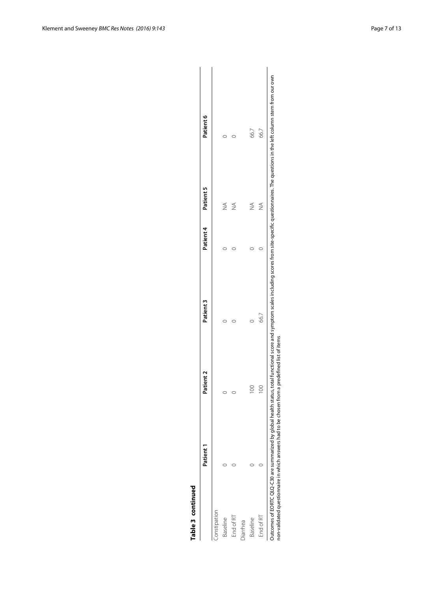| in Ir         |  |
|---------------|--|
| $\frac{1}{2}$ |  |

| Table 3 continued   |           |                                                                                               |           |           |               |                                                                                                                                                                                                                    |
|---------------------|-----------|-----------------------------------------------------------------------------------------------|-----------|-----------|---------------|--------------------------------------------------------------------------------------------------------------------------------------------------------------------------------------------------------------------|
|                     | Patient 1 | Patient 2                                                                                     | Patient 3 | Patient 4 | Patient 5     | Patient 6                                                                                                                                                                                                          |
| <b>Constipation</b> |           |                                                                                               |           |           |               |                                                                                                                                                                                                                    |
| Baseline            |           |                                                                                               |           |           |               |                                                                                                                                                                                                                    |
| End of RT           |           |                                                                                               |           |           | ≸             |                                                                                                                                                                                                                    |
| Diarrhea            |           |                                                                                               |           |           |               |                                                                                                                                                                                                                    |
| Baseline            |           |                                                                                               |           |           | $\frac{1}{2}$ | 66.7                                                                                                                                                                                                               |
| End of RT           |           | $\approx$                                                                                     | 66.7      |           | ≸             | 66.7                                                                                                                                                                                                               |
|                     |           | non-validated questionnaire in which answers had to be chosen from a predefined list of items |           |           |               | Outcomes of EORTC QLQ-C30 are summarized by global health status, total functional score and symptom scales including scores from site-specific questionnaires. The questions in the left column stem from our own |

Outcomes of EORTC QLQ-C30 are summarized by global health status, total functional score and symptom scales including scores from site-specific questionnaires. The questions in the left column stem from our own<br>non-validat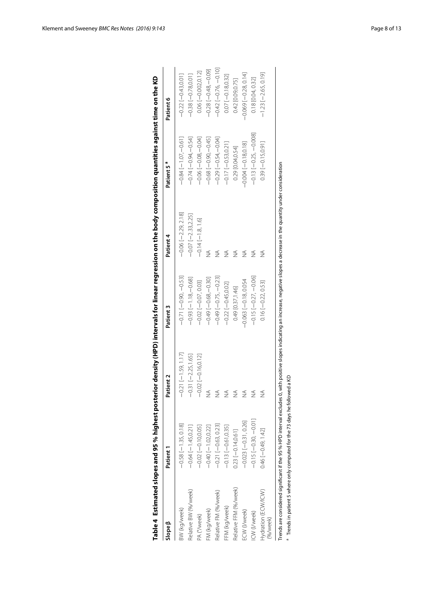<span id="page-7-0"></span>

| Slope <sup>B</sup>             | Patient 1                     | Patient 2                 | Patient 3                                | Patient 4                    | Patient 5 <sup>a</sup>         | Patient 6                     |
|--------------------------------|-------------------------------|---------------------------|------------------------------------------|------------------------------|--------------------------------|-------------------------------|
| BW (kg/week)                   | $-0.58[-1.35, 0.18]$          | $-0.21$ $[-1.59, 1.17]$   | $-0.71$ [ $-0.90$ , $-0.53$ ]            | $-0.06$ [ $-2.29$ , $2.18$ ] | $-0.84$ [ $-1.07$ -0.61]       | $-0.22$ [ $-0.43, 0.01$ ]     |
| Relative BW (%/week)           | $-0.64$ [ $-1.45, 0.21$ ]     | $-0.31$ [ $-2.25$ , 1.65] | $-0.93$ [ $-1.18$ <sub>2</sub> $-0.68$ ] | $-0.07$ [ $-2.33, 2.25$ ]    | $-0.74$ [ $-94$ , $-0.54$ ]    | $-0.38[-0.78, 0.01]$          |
| PA (°/week)                    | $-0.02[-0.10, 0.05]$          | $-0.02$ [ $-0.16, 0.12$ ] | $-0.02$ [ $-0.07, 0.03$ ]                | $-0.14$ [ $-1.8$ , 1.6]      | $-0.06$ [ $-0.08$ , $-0.04$ ]  | $0.06$ [-0.002,0.12]          |
| FM (kg/week)                   | $-0.40$ [ $-1.02,0.22$ ]      | ≸                         | $-0.49$ [ $-0.68$ , $-0.30$ ]            | $\frac{1}{2}$                | $-0.68[-0.90,-0.45]$           | $-0.28[-0.48,-0.09]$          |
| Relative FM (%/week)           | $-0.21[-0.63, 0.23]$          | ⋚                         | $-0.49$ [ $-0.75$ , $-0.23$ ]            | $\frac{1}{2}$                | $-0.29$ [ $-0.54$ , $-0.04$ ]  | $-0.42$ [ $-0.76$ , $-0.10$ ] |
| FFM (kg/week)                  | $-0.13[-0.61, 0.35]$          | ≨                         | $-0.22$ [ $-0.45,0.02$ ]                 | $\frac{1}{2}$                | $-0.17[-0.53, 0.21]$           | $0.07$ [-0.18,0.32]           |
| Relative FFM (%/week)          | $0.23$ [-0.14,0.61]           | ≨                         | 0.49 [0.37,1.46]                         | $\frac{1}{2}$                | 0.29 [0.04,0.54]               | 0.42 [0.09,0.75]              |
| ECW (I/week)                   | $-0.023[-0.31, 0.26]$         | ≸                         | $-0.063$ [ $-0.18$ , 0.054               | $\frac{1}{2}$                | $-0.004$ [ $-0.18, 0.18$ ]     | $-0.069[-0.28, 0.14]$         |
| CW (I/week)                    | $-0.15$ [ $-0.30$ , $-0.01$ ] | $\frac{1}{2}$             | $-0.15$ [ $-0.27$ , $-0.06$ ]            | $\frac{1}{2}$                | $-0.13$ [ $-0.25$ , $-0.008$ ] | 0.18 [0.04, 0.32]             |
| Hydration (ECW/ICW)<br>%/week) | $0.46$ [-0.49, 1.42]          | ≨                         | $0.16[-0.22, 0.53]$                      | $\frac{1}{2}$                | $0.39[-0.15, 0.91]$            | $-1.23$ [ $-2.65$ , 0.19]     |

| í                                                                                                                  |
|--------------------------------------------------------------------------------------------------------------------|
|                                                                                                                    |
|                                                                                                                    |
|                                                                                                                    |
|                                                                                                                    |
|                                                                                                                    |
|                                                                                                                    |
|                                                                                                                    |
|                                                                                                                    |
| י<br>ווי הוא היה הוא היה הוא היה הוא היה הוא היה הוא היה הוא היה הוא היה הוא היה הוא היה הוא היה הוא היה הוא היה ה |
|                                                                                                                    |
|                                                                                                                    |
|                                                                                                                    |
|                                                                                                                    |
|                                                                                                                    |
|                                                                                                                    |
|                                                                                                                    |
|                                                                                                                    |
|                                                                                                                    |
|                                                                                                                    |
|                                                                                                                    |
|                                                                                                                    |
| i,<br>ו<br>ו                                                                                                       |
| I                                                                                                                  |
|                                                                                                                    |
|                                                                                                                    |
|                                                                                                                    |
|                                                                                                                    |
|                                                                                                                    |
|                                                                                                                    |
|                                                                                                                    |
|                                                                                                                    |
|                                                                                                                    |
|                                                                                                                    |
|                                                                                                                    |
|                                                                                                                    |
|                                                                                                                    |
|                                                                                                                    |
| i<br>I                                                                                                             |
|                                                                                                                    |
| 1                                                                                                                  |
| ر<br>آ<br>i<br>'n                                                                                                  |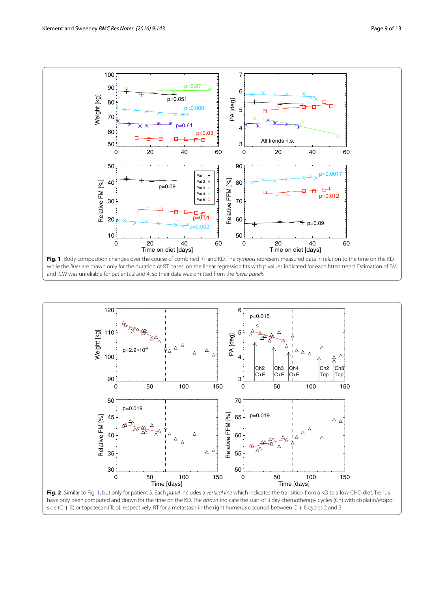

<span id="page-8-1"></span><span id="page-8-0"></span>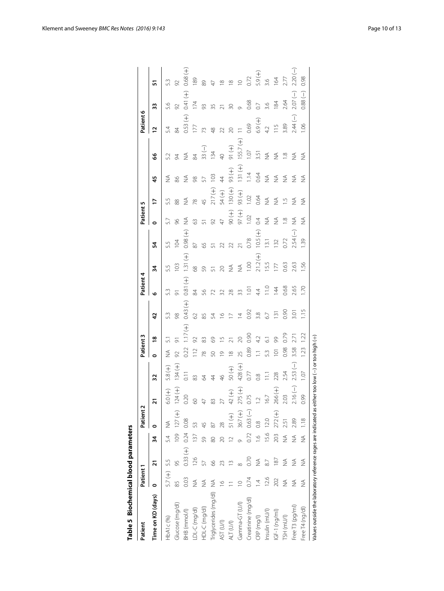<span id="page-9-0"></span>

| Patient                                                                                            | Patient 1      |                      |               | Patient 2     |                          |                   | Patient 3               |           |                 | Patient 4               |                |                 | Patient 5              |                       |                              |                        | Patient 6     |                         |            |
|----------------------------------------------------------------------------------------------------|----------------|----------------------|---------------|---------------|--------------------------|-------------------|-------------------------|-----------|-----------------|-------------------------|----------------|-----------------|------------------------|-----------------------|------------------------------|------------------------|---------------|-------------------------|------------|
| Time on KD (days)                                                                                  |                | ភ                    | 34            | 0             |                          | 32                |                         | ≌         | $\overline{4}$  |                         | $\frac{2}{3}$  | 54              |                        | F                     | 45                           | క                      | 2             | 33                      | ភ          |
| HbA1c(96)                                                                                          | 5.7 (+) 5.5    |                      | 54            | $\frac{4}{2}$ | $(+)$                    | $5.8 (+)$         | ≸                       |           | 53              | 53                      | 5.5            | 5.5             |                        | 55                    | $\stackrel{\triangle}{\geq}$ | 52                     | 54            | 5.6                     | 5.3        |
| Glucose (mg/dl)                                                                                    | 85             | 95                   | 109           | $127(+)$      | 24(+)                    | $134 (+)$         | 92                      | 5         | 98              | $\overline{5}$          | 103            | 104             | 86                     | $\frac{8}{8}$         | 86                           | 34                     | 84            | 92                      | 92         |
| BHB (mmol/l)                                                                                       | 0.03           | $0.33 (+) 0.24 0.08$ |               |               | 0.20                     | $\overline{0.11}$ | 0.22                    | $1.17(+)$ | $(+)$ (+)       | $\widehat{\pm}$<br>0.81 | $1.31 (+)$     | $(+)800$        | ₹                      | $\frac{1}{2}$         | $\frac{1}{2}$                | ₹                      | $0.53(+)$     | $\widehat{\pm}$<br>0.41 | $(+)$ 89.0 |
| LDL-C (mg/dl)                                                                                      | $\frac{1}{2}$  | 126                  | 137           | 53            | 8                        | 83                | 112                     | $\Im$     | 62              | 84                      | 89             | 87              | 3                      | ŏ,                    | $\frac{8}{20}$               | $\frac{8}{4}$          | 177           | 174                     | 189        |
| HDL-C (mg/dl)                                                                                      | ≸              |                      | 59            |               |                          | 64                | œ                       | 83        | 85              | 85                      | 59             | 65              |                        | $\frac{4}{5}$         |                              | $33(-)$                | m             | 93                      | 89         |
| Triglycerides (mg/dl)                                                                              | ≸              | 8                    | 80            | 87            | 83                       | $\overline{4}$    | SO                      | 69        | 54              | 72                      |                |                 | 92                     | 217(+)                | 103                          | 134                    | $\frac{8}{4}$ | 35                      |            |
| AST (UVI)                                                                                          | $\circ$        | 23                   | 20            | $^{28}$       |                          | $\frac{46}{5}$    | $\overline{\circ}$      |           | $\frac{6}{1}$   | 32                      | $\Omega$       | 22              | 47                     | 54(+)                 | $\overline{4}$               | $\overline{4}$         |               |                         | $\infty$   |
| ALT (U/I)                                                                                          |                | ≅                    |               | 51 (+)        | 42 <sup>(+)</sup>        | $50(+)$           | $\frac{\infty}{\infty}$ |           | $\geq$          | 28                      | ₹              | 22              | $+)$ 06                | $130 (+)$             | 93 (+)                       | $\frac{1}{2}$          | $\infty$      | $\infty$                | $\infty$   |
| Gamma-GT (U/I)                                                                                     |                |                      |               | 367 (+)       | 275 (+)                  | $428 (+)$         | 25                      |           | $\overline{4}$  | 33                      | ₹              |                 | $(+)$ (4)              | 93(+)                 | $131 (+)$                    | 155.7 ( <sup>+</sup> ) |               |                         |            |
| Creatinine (mg/dl)                                                                                 | 0.74           | 0.70                 | 0.72          | $0.63(-)$     | 0.75                     | 0.77              | 0.89                    | 0.90      | 0.92            | $\overline{\Xi}$        | 00.1           | 0.78            | 1.02                   | 1.02                  | 1.14                         | 1.07                   | 0.69          | 0.68                    |            |
| CRP (mg/l)                                                                                         | $\overline{4}$ | ≸                    | $\frac{6}{1}$ | $\frac{8}{2}$ | $\overline{\mathcal{L}}$ | $\frac{8}{2}$     | $\equiv$                | 42        | 3.8             | $\frac{4}{4}$           | $21.2 (+)$     | $10.5 (+)$      | $\overline{0}$         | 0.64                  | 0.64                         | 3.51                   | $6.9 (+)$     | $\overline{0}$ .        | 6.5        |
| Insulin (mU/l)                                                                                     | 12.6           | 87                   |               | 15.6 12.0     | 16.7                     | Ξ                 | 53                      | ढ         | 6.7             | $\frac{0}{10}$          | 15.5           | 13.1            | $\frac{1}{2}$          | $\frac{1}{2}$         | $\leq$                       | $\lessgtr$             | 4.2           | 3.6                     | 3.6        |
| IGF-1 (ng/ml)                                                                                      | 202            | 187                  | 203           | 272 (+)       | 266 (+)                  | 228               | $\overline{0}$          | 99        | $\overline{31}$ | $\overline{4}$          | $\overline{7}$ | $\overline{32}$ | $\frac{1}{2}$          | $\frac{1}{2}$         | $\leq$                       | ≸                      | $\frac{5}{1}$ | 184                     | 19         |
| TSH (mU/l)                                                                                         | ₹              | ₹                    | $\frac{1}{2}$ | 2.51          | 2.03                     | 2.54              | 0.98                    | 0.79      | 0.90            | 0.68                    | 0.63           |                 | $\frac{\infty}{\cdot}$ | ņ                     | $\leq$                       | œ.                     | 3.89          | 2.64                    |            |
| Free T3 (pg/ml)                                                                                    | ₹              | ≸                    | $\frac{1}{2}$ | 2.89          | $2.16(-)$                | $2.53(-)$         | 3.58                    | 27        | 3.01            | 2.65                    | 2.63           | $2.54(-)$       | $\frac{4}{2}$          | $\widetilde{\preceq}$ | $\widetilde{\preceq}$        | ≸                      | $2.44(-)$     | $2.07(-)$               | $2.20(-$   |
| Free T4 (ng/dl)                                                                                    | $\frac{1}{2}$  | $\lessgtr$           | $\frac{1}{2}$ | $\frac{8}{1}$ | 99                       | $\overline{0}$    | 1.23                    | 1.22      | 1.15            | $\tilde{\sim}$          | 56             | 39              | ₹                      | $\widetilde{\preceq}$ | $\frac{1}{2}$                | ≨                      | 90.           | $0.88(-)$               | 0.98       |
| Values outside the laboratory reference rages are indicated as either too low (--) or too high (+) |                |                      |               |               |                          |                   |                         |           |                 |                         |                |                 |                        |                       |                              |                        |               |                         |            |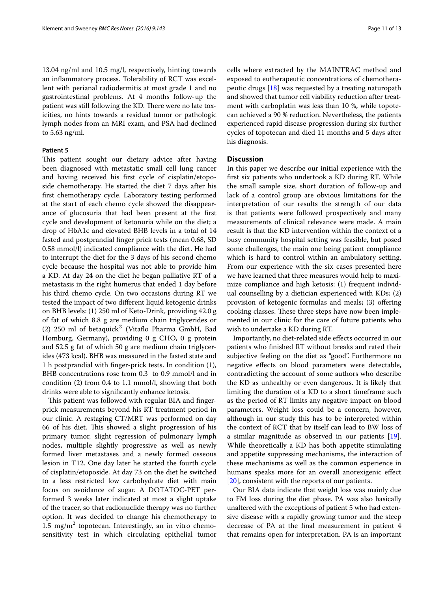13.04 ng/ml and 10.5 mg/l, respectively, hinting towards an inflammatory process. Tolerability of RCT was excellent with perianal radiodermitis at most grade 1 and no gastrointestinal problems. At 4 months follow-up the patient was still following the KD. There were no late toxicities, no hints towards a residual tumor or pathologic lymph nodes from an MRI exam, and PSA had declined to 5.63 ng/ml.

## **Patient 5**

This patient sought our dietary advice after having been diagnosed with metastatic small cell lung cancer and having received his first cycle of cisplatin/etoposide chemotherapy. He started the diet 7 days after his first chemotherapy cycle. Laboratory testing performed at the start of each chemo cycle showed the disappearance of glucosuria that had been present at the first cycle and development of ketonuria while on the diet; a drop of HbA1c and elevated BHB levels in a total of 14 fasted and postprandial finger prick tests (mean 0.68, SD 0.58 mmol/l) indicated compliance with the diet. He had to interrupt the diet for the 3 days of his second chemo cycle because the hospital was not able to provide him a KD. At day 24 on the diet he began palliative RT of a metastasis in the right humerus that ended 1 day before his third chemo cycle. On two occasions during RT we tested the impact of two different liquid ketogenic drinks on BHB levels: (1) 250 ml of Keto-Drink, providing 42.0 g of fat of which 8.8 g are medium chain triglycerides or (2) 250 ml of betaquick® (Vitaflo Pharma GmbH, Bad Homburg, Germany), providing 0 g CHO, 0 g protein and 52.5 g fat of which 50 g are medium chain triglycerides (473 kcal). BHB was measured in the fasted state and 1 h postprandial with finger-prick tests. In condition (1), BHB concentrations rose from 0.3 to 0.9 mmol/l and in condition (2) from 0.4 to 1.1 mmol/l, showing that both drinks were able to significantly enhance ketosis.

This patient was followed with regular BIA and fingerprick measurements beyond his RT treatment period in our clinic. A restaging CT/MRT was performed on day 66 of his diet. This showed a slight progression of his primary tumor, slight regression of pulmonary lymph nodes, multiple slightly progressive as well as newly formed liver metastases and a newly formed osseous lesion in T12. One day later he started the fourth cycle of cisplatin/etoposide. At day 73 on the diet he switched to a less restricted low carbohydrate diet with main focus on avoidance of sugar. A DOTATOC-PET performed 3 weeks later indicated at most a slight uptake of the tracer, so that radionuclide therapy was no further option. It was decided to change his chemotherapy to  $1.5 \, \text{mg/m}^2$  topotecan. Interestingly, an in vitro chemosensitivity test in which circulating epithelial tumor

cells where extracted by the MAINTRAC method and exposed to eutherapeutic concentrations of chemotherapeutic drugs [\[18\]](#page-12-11) was requested by a treating naturopath and showed that tumor cell viability reduction after treatment with carboplatin was less than 10 %, while topotecan achieved a 90 % reduction. Nevertheless, the patients experienced rapid disease progression during six further cycles of topotecan and died 11 months and 5 days after his diagnosis.

## **Discussion**

In this paper we describe our initial experience with the first six patients who undertook a KD during RT. While the small sample size, short duration of follow-up and lack of a control group are obvious limitations for the interpretation of our results the strength of our data is that patients were followed prospectively and many measurements of clinical relevance were made. A main result is that the KD intervention within the context of a busy community hospital setting was feasible, but posed some challenges, the main one being patient compliance which is hard to control within an ambulatory setting. From our experience with the six cases presented here we have learned that three measures would help to maximize compliance and high ketosis: (1) frequent individual counselling by a dietician experienced with KDs; (2) provision of ketogenic formulas and meals; (3) offering cooking classes. These three steps have now been implemented in our clinic for the care of future patients who wish to undertake a KD during RT.

Importantly, no diet-related side effects occurred in our patients who finished RT without breaks and rated their subjective feeling on the diet as "good". Furthermore no negative effects on blood parameters were detectable, contradicting the account of some authors who describe the KD as unhealthy or even dangerous. It is likely that limiting the duration of a KD to a short timeframe such as the period of RT limits any negative impact on blood parameters. Weight loss could be a concern, however, although in our study this has to be interpreted within the context of RCT that by itself can lead to BW loss of a similar magnitude as observed in our patients [\[19](#page-12-12)]. While theoretically a KD has both appetite stimulating and appetite suppressing mechanisms, the interaction of these mechanisms as well as the common experience in humans speaks more for an overall anorexigenic effect [[20\]](#page-12-13), consistent with the reports of our patients.

Our BIA data indicate that weight loss was mainly due to FM loss during the diet phase. PA was also basically unaltered with the exceptions of patient 5 who had extensive disease with a rapidly growing tumor and the steep decrease of PA at the final measurement in patient 4 that remains open for interpretation. PA is an important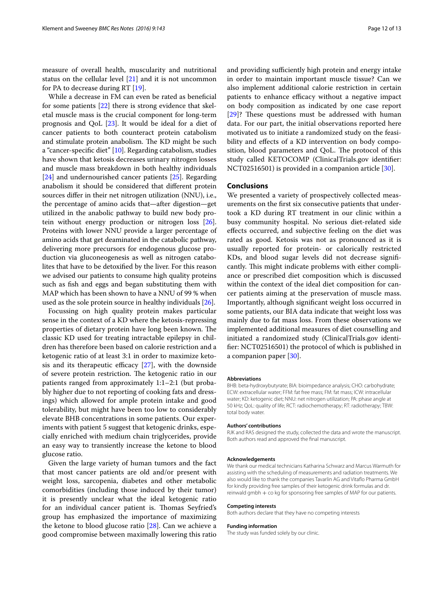measure of overall health, muscularity and nutritional status on the cellular level [\[21](#page-12-14)] and it is not uncommon for PA to decrease during RT [[19\]](#page-12-12).

While a decrease in FM can even be rated as beneficial for some patients [[22\]](#page-12-15) there is strong evidence that skeletal muscle mass is the crucial component for long-term prognosis and QoL [\[23](#page-12-16)]. It would be ideal for a diet of cancer patients to both counteract protein catabolism and stimulate protein anabolism. The KD might be such a "cancer-specific diet" [\[10](#page-12-2)]. Regarding catabolism, studies have shown that ketosis decreases urinary nitrogen losses and muscle mass breakdown in both healthy individuals [[24\]](#page-12-17) and undernourished cancer patients [\[25\]](#page-12-18). Regarding anabolism it should be considered that different protein sources differ in their net nitrogen utilization (NNU), i.e., the percentage of amino acids that—after digestion—get utilized in the anabolic pathway to build new body protein without energy production or nitrogen loss [\[26](#page-12-19)]. Proteins with lower NNU provide a larger percentage of amino acids that get deaminated in the catabolic pathway, delivering more precursors for endogenous glucose production via gluconeogenesis as well as nitrogen catabolites that have to be detoxified by the liver. For this reason we advised our patients to consume high quality proteins such as fish and eggs and began substituting them with MAP which has been shown to have a NNU of 99 % when used as the sole protein source in healthy individuals [[26\]](#page-12-19).

Focussing on high quality protein makes particular sense in the context of a KD where the ketosis-repressing properties of dietary protein have long been known. The classic KD used for treating intractable epilepsy in children has therefore been based on calorie restriction and a ketogenic ratio of at least 3:1 in order to maximize ketosis and its therapeutic efficacy [[27\]](#page-12-20), with the downside of severe protein restriction. The ketogenic ratio in our patients ranged from approximately 1:1–2:1 (but probably higher due to not reporting of cooking fats and dressings) which allowed for ample protein intake and good tolerability, but might have been too low to considerably elevate BHB concentrations in some patients. Our experiments with patient 5 suggest that ketogenic drinks, especially enriched with medium chain triglycerides, provide an easy way to transiently increase the ketone to blood glucose ratio.

Given the large variety of human tumors and the fact that most cancer patients are old and/or present with weight loss, sarcopenia, diabetes and other metabolic comorbidities (including those induced by their tumor) it is presently unclear what the ideal ketogenic ratio for an individual cancer patient is. Thomas Seyfried's group has emphasized the importance of maximizing the ketone to blood glucose ratio [\[28\]](#page-12-21). Can we achieve a good compromise between maximally lowering this ratio

and providing sufficiently high protein and energy intake in order to maintain important muscle tissue? Can we also implement additional calorie restriction in certain patients to enhance efficacy without a negative impact on body composition as indicated by one case report [[29\]](#page-12-22)? These questions must be addressed with human data. For our part, the initial observations reported here motivated us to initiate a randomized study on the feasibility and effects of a KD intervention on body composition, blood parameters and QoL. The protocol of this study called KETOCOMP (ClinicalTrials.gov identifier: NCT02516501) is provided in a companion article [\[30\]](#page-12-23).

## **Conclusions**

We presented a variety of prospectively collected measurements on the first six consecutive patients that undertook a KD during RT treatment in our clinic within a busy community hospital. No serious diet-related side effects occurred, and subjective feeling on the diet was rated as good. Ketosis was not as pronounced as it is usually reported for protein- or calorically restricted KDs, and blood sugar levels did not decrease significantly. This might indicate problems with either compliance or prescribed diet composition which is discussed within the context of the ideal diet composition for cancer patients aiming at the preservation of muscle mass. Importantly, although significant weight loss occurred in some patients, our BIA data indicate that weight loss was mainly due to fat mass loss. From these observations we implemented additional measures of diet counselling and initiated a randomized study (ClinicalTrials.gov identifier: NCT02516501) the protocol of which is published in a companion paper [[30\]](#page-12-23).

#### **Abbreviations**

BHB: beta-hydroxybutyrate; BIA: bioimpedance analysis; CHO: carbohydrate; ECW: extracellular water; FFM: fat free mass; FM: fat mass; ICW: intracellular water; KD: ketogenic diet; NNU: net nitrogen utilization; PA: phase angle at 50 kHz; QoL: quality of life; RCT: radiochemotherapy; RT: radiotherapy; TBW: total body water.

#### **Authors' contributions**

RJK and RAS designed the study, collected the data and wrote the manuscript. Both authors read and approved the final manuscript.

#### **Acknowledgements**

We thank our medical technicians Katharina Schwarz and Marcus Warmuth for assisting with the scheduling of measurements and radiation treatments. We also would like to thank the companies Tavarlin AG and Vitaflo Pharma GmbH for kindly providing free samples of their ketogenic drink formulas and dr. reinwald gmbh + co kg for sponsoring free samples of MAP for our patients.

#### **Competing interests**

Both authors declare that they have no competing interests

#### **Funding information**

The study was funded solely by our clinic.